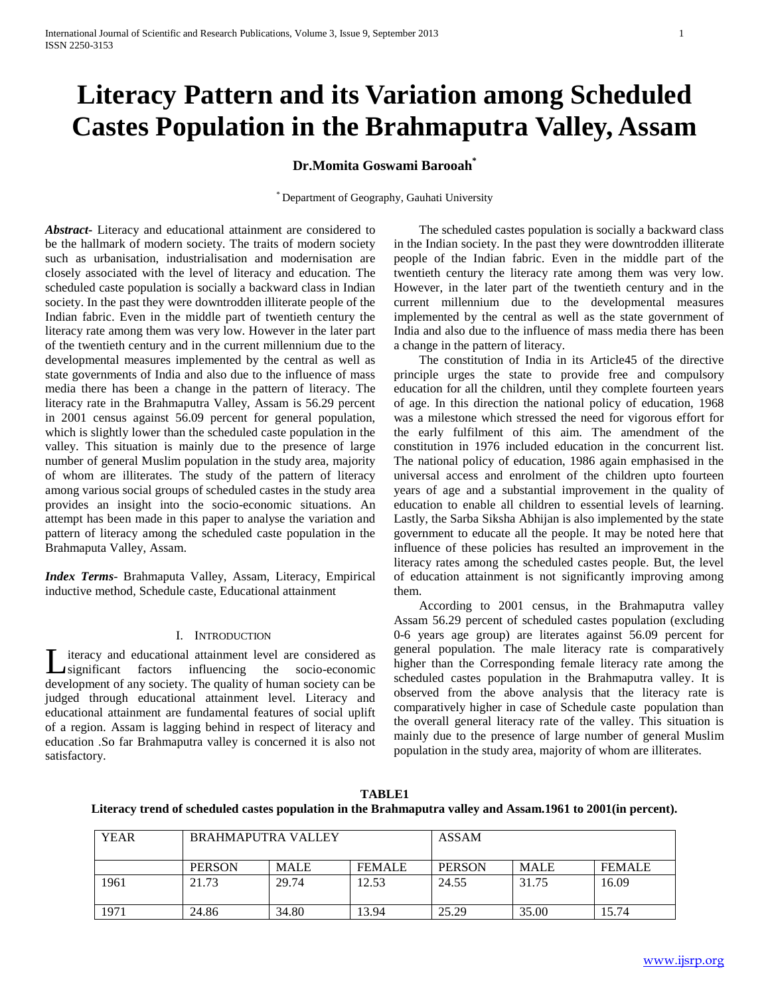# **Literacy Pattern and its Variation among Scheduled Castes Population in the Brahmaputra Valley, Assam**

# **Dr.Momita Goswami Barooah\***

\* Department of Geography, Gauhati University

*Abstract***-** Literacy and educational attainment are considered to be the hallmark of modern society. The traits of modern society such as urbanisation, industrialisation and modernisation are closely associated with the level of literacy and education. The scheduled caste population is socially a backward class in Indian society. In the past they were downtrodden illiterate people of the Indian fabric. Even in the middle part of twentieth century the literacy rate among them was very low. However in the later part of the twentieth century and in the current millennium due to the developmental measures implemented by the central as well as state governments of India and also due to the influence of mass media there has been a change in the pattern of literacy. The literacy rate in the Brahmaputra Valley, Assam is 56.29 percent in 2001 census against 56.09 percent for general population, which is slightly lower than the scheduled caste population in the valley. This situation is mainly due to the presence of large number of general Muslim population in the study area, majority of whom are illiterates. The study of the pattern of literacy among various social groups of scheduled castes in the study area provides an insight into the socio-economic situations. An attempt has been made in this paper to analyse the variation and pattern of literacy among the scheduled caste population in the Brahmaputa Valley, Assam.

*Index Terms*- Brahmaputa Valley, Assam, Literacy, Empirical inductive method, Schedule caste, Educational attainment

# I. INTRODUCTION

iteracy and educational attainment level are considered as significant factors influencing the socio-economic Let it is development of any society. The quality of human society can be development of any society. The quality of human society can be judged through educational attainment level. Literacy and educational attainment are fundamental features of social uplift of a region. Assam is lagging behind in respect of literacy and education .So far Brahmaputra valley is concerned it is also not satisfactory.

 The scheduled castes population is socially a backward class in the Indian society. In the past they were downtrodden illiterate people of the Indian fabric. Even in the middle part of the twentieth century the literacy rate among them was very low. However, in the later part of the twentieth century and in the current millennium due to the developmental measures implemented by the central as well as the state government of India and also due to the influence of mass media there has been a change in the pattern of literacy.

 The constitution of India in its Article45 of the directive principle urges the state to provide free and compulsory education for all the children, until they complete fourteen years of age. In this direction the national policy of education, 1968 was a milestone which stressed the need for vigorous effort for the early fulfilment of this aim. The amendment of the constitution in 1976 included education in the concurrent list. The national policy of education, 1986 again emphasised in the universal access and enrolment of the children upto fourteen years of age and a substantial improvement in the quality of education to enable all children to essential levels of learning. Lastly, the Sarba Siksha Abhijan is also implemented by the state government to educate all the people. It may be noted here that influence of these policies has resulted an improvement in the literacy rates among the scheduled castes people. But, the level of education attainment is not significantly improving among them.

 According to 2001 census, in the Brahmaputra valley Assam 56.29 percent of scheduled castes population (excluding 0-6 years age group) are literates against 56.09 percent for general population. The male literacy rate is comparatively higher than the Corresponding female literacy rate among the scheduled castes population in the Brahmaputra valley. It is observed from the above analysis that the literacy rate is comparatively higher in case of Schedule caste population than the overall general literacy rate of the valley. This situation is mainly due to the presence of large number of general Muslim population in the study area, majority of whom are illiterates.

| TABLE1                                                                                                      |
|-------------------------------------------------------------------------------------------------------------|
| Literacy trend of scheduled castes population in the Brahmaputra valley and Assam.1961 to 2001(in percent). |

| <b>YEAR</b> | <b>BRAHMAPUTRA VALLEY</b> |             | <b>ASSAM</b>  |               |             |               |
|-------------|---------------------------|-------------|---------------|---------------|-------------|---------------|
|             | <b>PERSON</b>             | <b>MALE</b> | <b>FEMALE</b> | <b>PERSON</b> | <b>MALE</b> | <b>FEMALE</b> |
| 1961        | 21.73                     | 29.74       | 12.53         | 24.55         | 31.75       | 16.09         |
| 1971        | 24.86                     | 34.80       | 13.94         | 25.29         | 35.00       | 15.74         |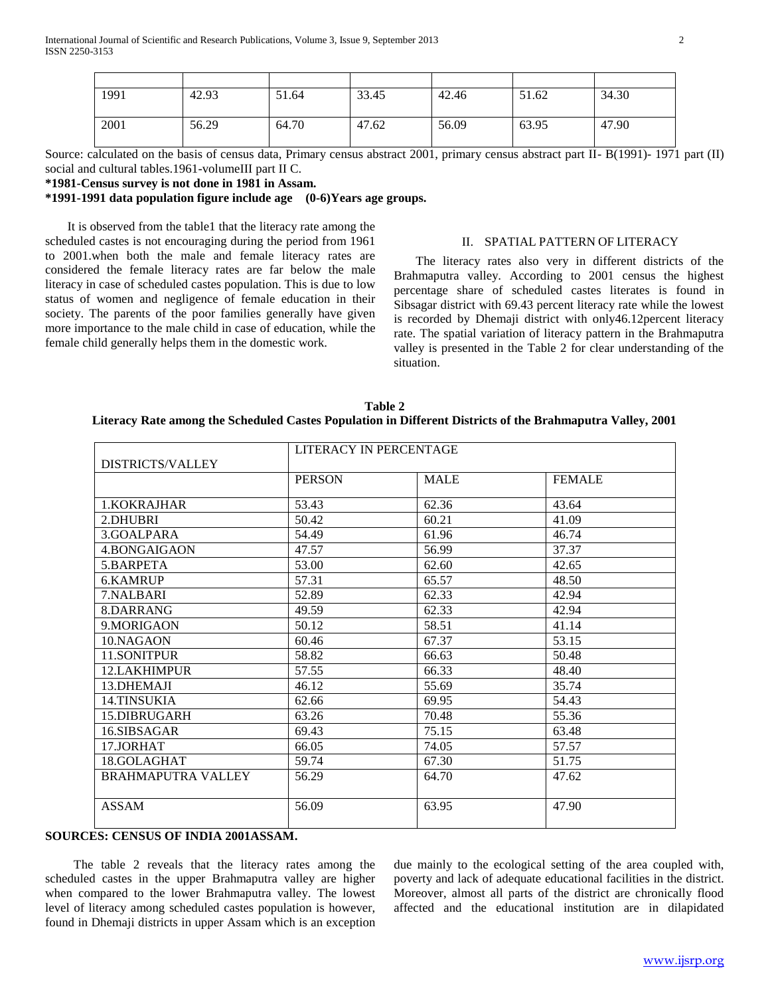| 1991 | 42.93 | 51.64 | 33.45 | 42.46 | 51.62 | 34.30 |
|------|-------|-------|-------|-------|-------|-------|
|      |       |       |       |       |       |       |
|      |       |       |       |       |       |       |
| 2001 | 56.29 | 64.70 | 47.62 | 56.09 | 63.95 | 47.90 |
|      |       |       |       |       |       |       |

Source: calculated on the basis of census data, Primary census abstract 2001, primary census abstract part II- B(1991)- 1971 part (II) social and cultural tables.1961-volumeIII part II C.

#### **\*1981-Census survey is not done in 1981 in Assam.**

**\*1991-1991 data population figure include age (0-6)Years age groups.**

 It is observed from the table1 that the literacy rate among the scheduled castes is not encouraging during the period from 1961 to 2001.when both the male and female literacy rates are considered the female literacy rates are far below the male literacy in case of scheduled castes population. This is due to low status of women and negligence of female education in their society. The parents of the poor families generally have given more importance to the male child in case of education, while the female child generally helps them in the domestic work.

#### II. SPATIAL PATTERN OF LITERACY

 The literacy rates also very in different districts of the Brahmaputra valley. According to 2001 census the highest percentage share of scheduled castes literates is found in Sibsagar district with 69.43 percent literacy rate while the lowest is recorded by Dhemaji district with only46.12percent literacy rate. The spatial variation of literacy pattern in the Brahmaputra valley is presented in the Table 2 for clear understanding of the situation.

| Table 2                                                                                                    |
|------------------------------------------------------------------------------------------------------------|
| Literacy Rate among the Scheduled Castes Population in Different Districts of the Brahmaputra Valley, 2001 |

|                           | LITERACY IN PERCENTAGE |             |               |  |  |
|---------------------------|------------------------|-------------|---------------|--|--|
| <b>DISTRICTS/VALLEY</b>   |                        |             |               |  |  |
|                           | <b>PERSON</b>          | <b>MALE</b> | <b>FEMALE</b> |  |  |
| 1. KOKRAJHAR              | 53.43                  | 62.36       | 43.64         |  |  |
| 2.DHUBRI                  | 50.42                  | 60.21       | 41.09         |  |  |
| 3.GOALPARA                | 54.49                  | 61.96       | 46.74         |  |  |
| 4. BONGAIGAON             | 47.57                  | 56.99       | 37.37         |  |  |
| 5.BARPETA                 | 53.00                  | 62.60       | 42.65         |  |  |
| 6.KAMRUP                  | 57.31                  | 65.57       | 48.50         |  |  |
| 7.NALBARI                 | 52.89                  | 62.33       | 42.94         |  |  |
| 8.DARRANG                 | 49.59                  | 62.33       | 42.94         |  |  |
| 9. MORIGAON               | 50.12                  | 58.51       | 41.14         |  |  |
| 10.NAGAON                 | 60.46                  | 67.37       | 53.15         |  |  |
| 11.SONITPUR               | 58.82                  | 66.63       | 50.48         |  |  |
| 12.LAKHIMPUR              | 57.55                  | 66.33       | 48.40         |  |  |
| 13.DHEMAJI                | 46.12                  | 55.69       | 35.74         |  |  |
| 14.TINSUKIA               | 62.66                  | 69.95       | 54.43         |  |  |
| 15.DIBRUGARH              | 63.26                  | 70.48       | 55.36         |  |  |
| 16.SIBSAGAR               | 69.43                  | 75.15       | 63.48         |  |  |
| 17.JORHAT                 | 66.05                  | 74.05       | 57.57         |  |  |
| 18.GOLAGHAT               | 59.74                  | 67.30       | 51.75         |  |  |
| <b>BRAHMAPUTRA VALLEY</b> | 56.29                  | 64.70       | 47.62         |  |  |
|                           |                        |             |               |  |  |
| <b>ASSAM</b>              | 56.09                  | 63.95       | 47.90         |  |  |
|                           |                        |             |               |  |  |

# **SOURCES: CENSUS OF INDIA 2001ASSAM.**

 The table 2 reveals that the literacy rates among the scheduled castes in the upper Brahmaputra valley are higher when compared to the lower Brahmaputra valley. The lowest level of literacy among scheduled castes population is however, found in Dhemaji districts in upper Assam which is an exception

due mainly to the ecological setting of the area coupled with, poverty and lack of adequate educational facilities in the district. Moreover, almost all parts of the district are chronically flood affected and the educational institution are in dilapidated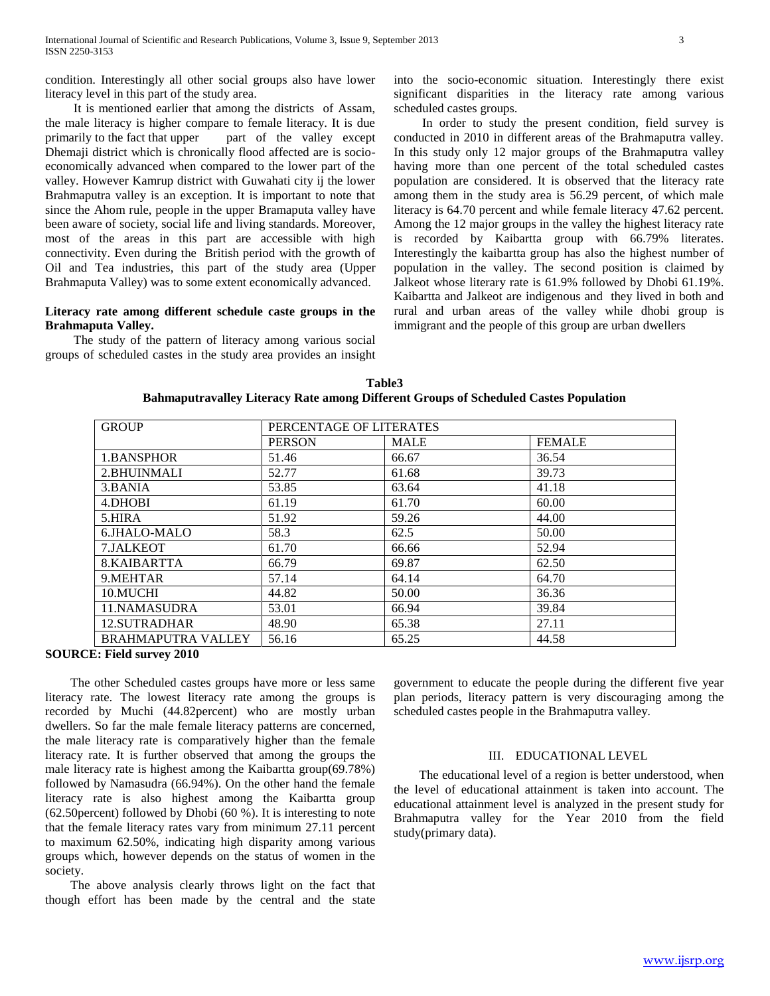condition. Interestingly all other social groups also have lower literacy level in this part of the study area.

 It is mentioned earlier that among the districts of Assam, the male literacy is higher compare to female literacy. It is due primarily to the fact that upper part of the valley except Dhemaji district which is chronically flood affected are is socioeconomically advanced when compared to the lower part of the valley. However Kamrup district with Guwahati city ij the lower Brahmaputra valley is an exception. It is important to note that since the Ahom rule, people in the upper Bramaputa valley have been aware of society, social life and living standards. Moreover, most of the areas in this part are accessible with high connectivity. Even during the British period with the growth of Oil and Tea industries, this part of the study area (Upper Brahmaputa Valley) was to some extent economically advanced.

# **Literacy rate among different schedule caste groups in the Brahmaputa Valley.**

 The study of the pattern of literacy among various social groups of scheduled castes in the study area provides an insight into the socio-economic situation. Interestingly there exist significant disparities in the literacy rate among various scheduled castes groups.

 In order to study the present condition, field survey is conducted in 2010 in different areas of the Brahmaputra valley. In this study only 12 major groups of the Brahmaputra valley having more than one percent of the total scheduled castes population are considered. It is observed that the literacy rate among them in the study area is 56.29 percent, of which male literacy is 64.70 percent and while female literacy 47.62 percent. Among the 12 major groups in the valley the highest literacy rate is recorded by Kaibartta group with 66.79% literates. Interestingly the kaibartta group has also the highest number of population in the valley. The second position is claimed by Jalkeot whose literary rate is 61.9% followed by Dhobi 61.19%. Kaibartta and Jalkeot are indigenous and they lived in both and rural and urban areas of the valley while dhobi group is immigrant and the people of this group are urban dwellers

**Table3 Bahmaputravalley Literacy Rate among Different Groups of Scheduled Castes Population**

| <b>GROUP</b>              | PERCENTAGE OF LITERATES |             |               |  |
|---------------------------|-------------------------|-------------|---------------|--|
|                           | <b>PERSON</b>           | <b>MALE</b> | <b>FEMALE</b> |  |
| 1.BANSPHOR                | 51.46                   | 66.67       | 36.54         |  |
| 2.BHUINMALI               | 52.77                   | 61.68       | 39.73         |  |
| 3.BANIA                   | 53.85                   | 63.64       | 41.18         |  |
| 4.DHOBI                   | 61.19                   | 61.70       | 60.00         |  |
| 5.HIRA                    | 51.92                   | 59.26       | 44.00         |  |
| 6.JHALO-MALO              | 58.3                    | 62.5        | 50.00         |  |
| 7.JALKEOT                 | 61.70                   | 66.66       | 52.94         |  |
| 8.KAIBARTTA               | 66.79                   | 69.87       | 62.50         |  |
| 9.MEHTAR                  | 57.14                   | 64.14       | 64.70         |  |
| 10.MUCHI                  | 44.82                   | 50.00       | 36.36         |  |
| 11.NAMASUDRA              | 53.01                   | 66.94       | 39.84         |  |
| 12.SUTRADHAR              | 48.90                   | 65.38       | 27.11         |  |
| <b>BRAHMAPUTRA VALLEY</b> | 56.16                   | 65.25       | 44.58         |  |

#### **SOURCE: Field survey 2010**

 The other Scheduled castes groups have more or less same literacy rate. The lowest literacy rate among the groups is recorded by Muchi (44.82percent) who are mostly urban dwellers. So far the male female literacy patterns are concerned, the male literacy rate is comparatively higher than the female literacy rate. It is further observed that among the groups the male literacy rate is highest among the Kaibartta group(69.78%) followed by Namasudra (66.94%). On the other hand the female literacy rate is also highest among the Kaibartta group (62.50percent) followed by Dhobi (60 %). It is interesting to note that the female literacy rates vary from minimum 27.11 percent to maximum 62.50%, indicating high disparity among various groups which, however depends on the status of women in the society.

 The above analysis clearly throws light on the fact that though effort has been made by the central and the state government to educate the people during the different five year plan periods, literacy pattern is very discouraging among the scheduled castes people in the Brahmaputra valley.

#### III. EDUCATIONAL LEVEL

 The educational level of a region is better understood, when the level of educational attainment is taken into account. The educational attainment level is analyzed in the present study for Brahmaputra valley for the Year 2010 from the field study(primary data).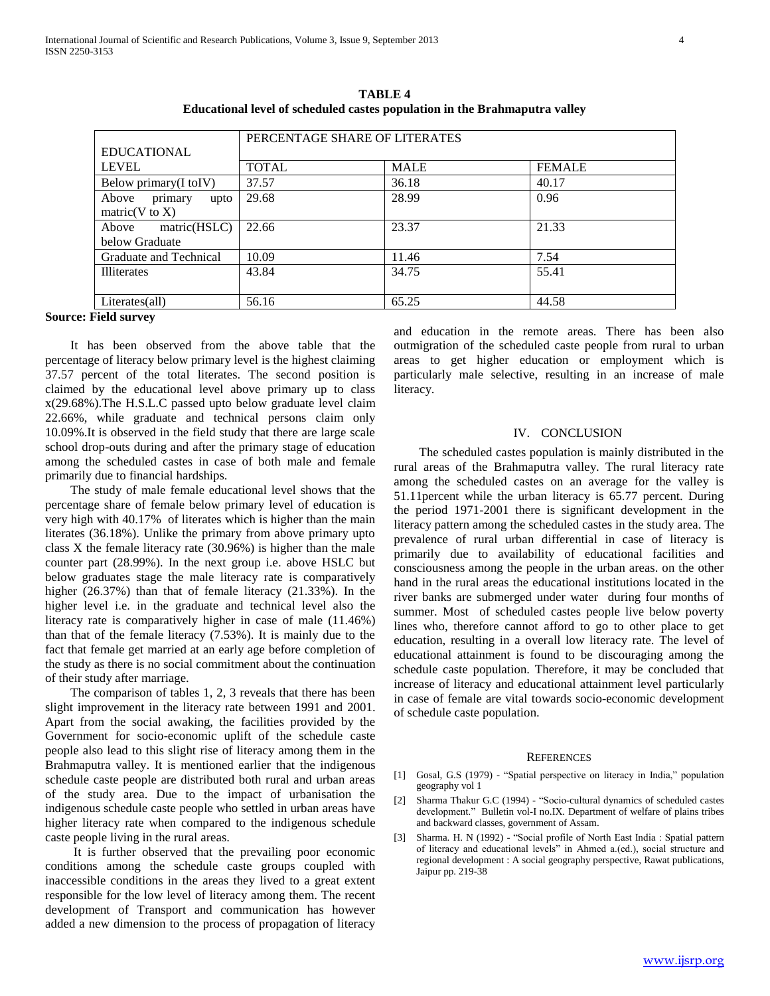|                          | PERCENTAGE SHARE OF LITERATES |             |               |  |
|--------------------------|-------------------------------|-------------|---------------|--|
| <b>EDUCATIONAL</b>       |                               |             |               |  |
| <b>LEVEL</b>             | <b>TOTAL</b>                  | <b>MALE</b> | <b>FEMALE</b> |  |
| Below primary(I toIV)    | 37.57                         | 36.18       | 40.17         |  |
| primary<br>Above<br>upto | 29.68                         | 28.99       | 0.96          |  |
| matric( $V$ to $X$ )     |                               |             |               |  |
| matric(HSLC)<br>Above    | 22.66                         | 23.37       | 21.33         |  |
| below Graduate           |                               |             |               |  |
| Graduate and Technical   | 10.09                         | 11.46       | 7.54          |  |
| <b>Illiterates</b>       | 43.84                         | 34.75       | 55.41         |  |
| Literates(all)           | 56.16                         | 65.25       | 44.58         |  |

**TABLE 4 Educational level of scheduled castes population in the Brahmaputra valley**

### **Source: Field survey**

 It has been observed from the above table that the percentage of literacy below primary level is the highest claiming 37.57 percent of the total literates. The second position is claimed by the educational level above primary up to class x(29.68%).The H.S.L.C passed upto below graduate level claim 22.66%, while graduate and technical persons claim only 10.09%.It is observed in the field study that there are large scale school drop-outs during and after the primary stage of education among the scheduled castes in case of both male and female primarily due to financial hardships.

 The study of male female educational level shows that the percentage share of female below primary level of education is very high with 40.17% of literates which is higher than the main literates (36.18%). Unlike the primary from above primary upto class X the female literacy rate (30.96%) is higher than the male counter part (28.99%). In the next group i.e. above HSLC but below graduates stage the male literacy rate is comparatively higher (26.37%) than that of female literacy (21.33%). In the higher level i.e. in the graduate and technical level also the literacy rate is comparatively higher in case of male (11.46%) than that of the female literacy (7.53%). It is mainly due to the fact that female get married at an early age before completion of the study as there is no social commitment about the continuation of their study after marriage.

 The comparison of tables 1, 2, 3 reveals that there has been slight improvement in the literacy rate between 1991 and 2001. Apart from the social awaking, the facilities provided by the Government for socio-economic uplift of the schedule caste people also lead to this slight rise of literacy among them in the Brahmaputra valley. It is mentioned earlier that the indigenous schedule caste people are distributed both rural and urban areas of the study area. Due to the impact of urbanisation the indigenous schedule caste people who settled in urban areas have higher literacy rate when compared to the indigenous schedule caste people living in the rural areas.

 It is further observed that the prevailing poor economic conditions among the schedule caste groups coupled with inaccessible conditions in the areas they lived to a great extent responsible for the low level of literacy among them. The recent development of Transport and communication has however added a new dimension to the process of propagation of literacy

and education in the remote areas. There has been also outmigration of the scheduled caste people from rural to urban areas to get higher education or employment which is particularly male selective, resulting in an increase of male literacy.

#### IV. CONCLUSION

 The scheduled castes population is mainly distributed in the rural areas of the Brahmaputra valley. The rural literacy rate among the scheduled castes on an average for the valley is 51.11percent while the urban literacy is 65.77 percent. During the period 1971-2001 there is significant development in the literacy pattern among the scheduled castes in the study area. The prevalence of rural urban differential in case of literacy is primarily due to availability of educational facilities and consciousness among the people in the urban areas. on the other hand in the rural areas the educational institutions located in the river banks are submerged under water during four months of summer. Most of scheduled castes people live below poverty lines who, therefore cannot afford to go to other place to get education, resulting in a overall low literacy rate. The level of educational attainment is found to be discouraging among the schedule caste population. Therefore, it may be concluded that increase of literacy and educational attainment level particularly in case of female are vital towards socio-economic development of schedule caste population.

#### **REFERENCES**

- [1] Gosal, G.S (1979) "Spatial perspective on literacy in India," population geography vol 1
- [2] Sharma Thakur G.C (1994) "Socio-cultural dynamics of scheduled castes development." Bulletin vol-I no.IX. Department of welfare of plains tribes and backward classes, government of Assam.
- [3] Sharma. H. N (1992) "Social profile of North East India : Spatial pattern of literacy and educational levels" in Ahmed a.(ed.), social structure and regional development : A social geography perspective, Rawat publications, Jaipur pp. 219-38